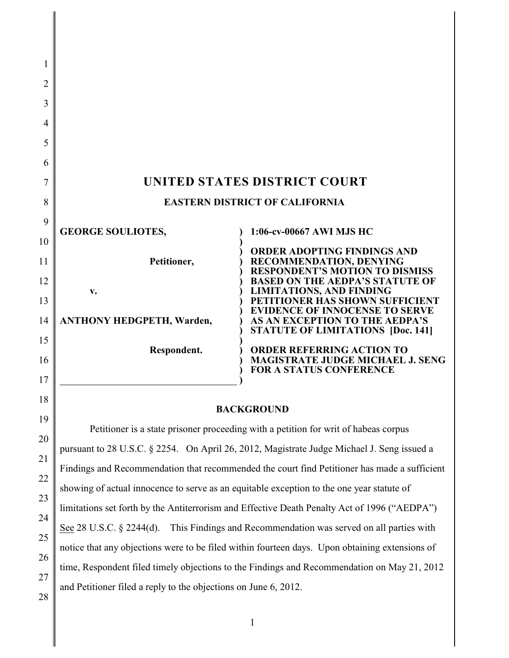| 1        |                                                                                                |                                                                            |  |
|----------|------------------------------------------------------------------------------------------------|----------------------------------------------------------------------------|--|
| 2        |                                                                                                |                                                                            |  |
| 3        |                                                                                                |                                                                            |  |
| 4        |                                                                                                |                                                                            |  |
| 5        |                                                                                                |                                                                            |  |
| 6        |                                                                                                |                                                                            |  |
| 7        | UNITED STATES DISTRICT COURT                                                                   |                                                                            |  |
| 8        | <b>EASTERN DISTRICT OF CALIFORNIA</b>                                                          |                                                                            |  |
| 9        | <b>GEORGE SOULIOTES,</b>                                                                       | 1:06-cv-00667 AWI MJS HC                                                   |  |
| 10       |                                                                                                | <b>ORDER ADOPTING FINDINGS AND</b>                                         |  |
| 11       | Petitioner,                                                                                    | RECOMMENDATION, DENYING<br><b>RESPONDENT'S MOTION TO DISMISS</b>           |  |
| 12       | v.                                                                                             | <b>BASED ON THE AEDPA'S STATUTE OF</b><br><b>LIMITATIONS, AND FINDING</b>  |  |
| 13       |                                                                                                | PETITIONER HAS SHOWN SUFFICIENT<br><b>EVIDENCE OF INNOCENSE TO SERVE</b>   |  |
| 14       | <b>ANTHONY HEDGPETH, Warden,</b>                                                               | AS AN EXCEPTION TO THE AEDPA'S<br><b>STATUTE OF LIMITATIONS [Doc. 141]</b> |  |
| 15       | Respondent.                                                                                    | <b>ORDER REFERRING ACTION TO</b>                                           |  |
| 16       |                                                                                                | MAGISTRATE JUDGE MICHAEL J. SENG<br><b>FOR A STATUS CONFERENCE</b>         |  |
| 17       |                                                                                                |                                                                            |  |
| 18       | <b>BACKGROUND</b>                                                                              |                                                                            |  |
| 19       | Petitioner is a state prisoner proceeding with a petition for writ of habeas corpus            |                                                                            |  |
| 20       | pursuant to 28 U.S.C. § 2254. On April 26, 2012, Magistrate Judge Michael J. Seng issued a     |                                                                            |  |
| 21       | Findings and Recommendation that recommended the court find Petitioner has made a sufficient   |                                                                            |  |
| 22       | showing of actual innocence to serve as an equitable exception to the one year statute of      |                                                                            |  |
| 23       | limitations set forth by the Antiterrorism and Effective Death Penalty Act of 1996 ("AEDPA")   |                                                                            |  |
| 24       | This Findings and Recommendation was served on all parties with<br>See 28 U.S.C. $\S$ 2244(d). |                                                                            |  |
| 25       | notice that any objections were to be filed within fourteen days. Upon obtaining extensions of |                                                                            |  |
| 26       | time, Respondent filed timely objections to the Findings and Recommendation on May 21, 2012    |                                                                            |  |
| 27<br>28 | and Petitioner filed a reply to the objections on June 6, 2012.                                |                                                                            |  |
|          |                                                                                                |                                                                            |  |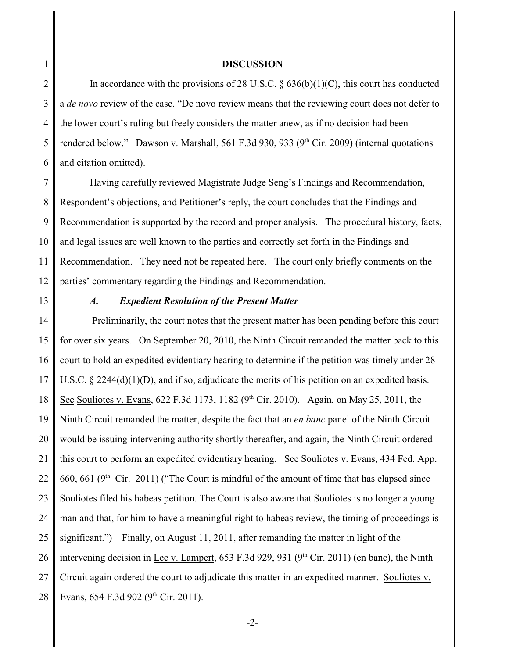#### **DISCUSSION**

2 3 4 5 6 In accordance with the provisions of 28 U.S.C.  $\S$  636(b)(1)(C), this court has conducted a *de novo* review of the case. "De novo review means that the reviewing court does not defer to the lower court's ruling but freely considers the matter anew, as if no decision had been rendered below." Dawson v. Marshall, 561 F.3d 930, 933 ( $9<sup>th</sup>$  Cir. 2009) (internal quotations and citation omitted).

7 8 9 10 11 12 Having carefully reviewed Magistrate Judge Seng's Findings and Recommendation, Respondent's objections, and Petitioner's reply, the court concludes that the Findings and Recommendation is supported by the record and proper analysis. The procedural history, facts, and legal issues are well known to the parties and correctly set forth in the Findings and Recommendation. They need not be repeated here. The court only briefly comments on the parties' commentary regarding the Findings and Recommendation.

13

1

#### *A. Expedient Resolution of the Present Matter*

14 15 16 17 18 19 20 21 22 23 24 25 26 27 28 Preliminarily, the court notes that the present matter has been pending before this court for over six years. On September 20, 2010, the Ninth Circuit remanded the matter back to this court to hold an expedited evidentiary hearing to determine if the petition was timely under 28 U.S.C. § 2244(d)(1)(D), and if so, adjudicate the merits of his petition on an expedited basis. See Souliotes v. Evans,  $622$  F.3d 1173, 1182 (9<sup>th</sup> Cir. 2010). Again, on May 25, 2011, the Ninth Circuit remanded the matter, despite the fact that an *en banc* panel of the Ninth Circuit would be issuing intervening authority shortly thereafter, and again, the Ninth Circuit ordered this court to perform an expedited evidentiary hearing. See Souliotes v. Evans, 434 Fed. App. 660, 661 ( $9<sup>th</sup>$  Cir. 2011) ("The Court is mindful of the amount of time that has elapsed since Souliotes filed his habeas petition. The Court is also aware that Souliotes is no longer a young man and that, for him to have a meaningful right to habeas review, the timing of proceedings is significant.") Finally, on August 11, 2011, after remanding the matter in light of the intervening decision in Lee v. Lampert,  $653$  F.3d 929, 931 (9<sup>th</sup> Cir. 2011) (en banc), the Ninth Circuit again ordered the court to adjudicate this matter in an expedited manner. Souliotes v. Evans,  $654$  F.3d  $902$  ( $9<sup>th</sup>$  Cir. 2011).

-2-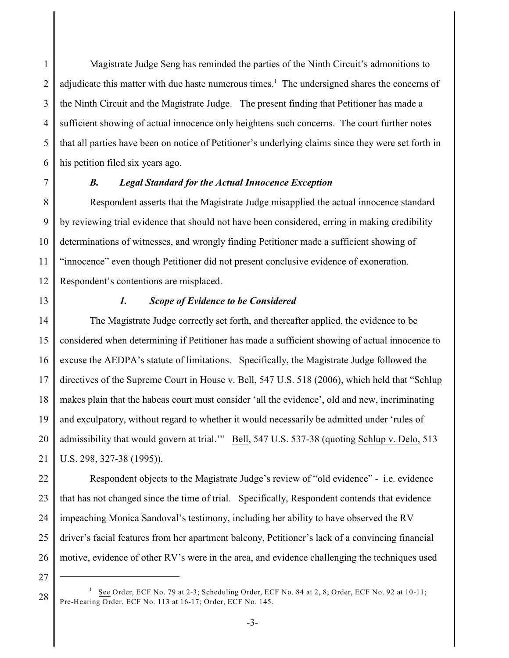1 2 3 4 5 6 Magistrate Judge Seng has reminded the parties of the Ninth Circuit's admonitions to adjudicate this matter with due haste numerous times.<sup>1</sup> The undersigned shares the concerns of the Ninth Circuit and the Magistrate Judge. The present finding that Petitioner has made a sufficient showing of actual innocence only heightens such concerns. The court further notes that all parties have been on notice of Petitioner's underlying claims since they were set forth in his petition filed six years ago.

7

#### *B. Legal Standard for the Actual Innocence Exception*

8 9 10 11 12 Respondent asserts that the Magistrate Judge misapplied the actual innocence standard by reviewing trial evidence that should not have been considered, erring in making credibility determinations of witnesses, and wrongly finding Petitioner made a sufficient showing of "innocence" even though Petitioner did not present conclusive evidence of exoneration. Respondent's contentions are misplaced.

13

#### *1. Scope of Evidence to be Considered*

14 15 16 17 18 19 20 21 The Magistrate Judge correctly set forth, and thereafter applied, the evidence to be considered when determining if Petitioner has made a sufficient showing of actual innocence to excuse the AEDPA's statute of limitations. Specifically, the Magistrate Judge followed the directives of the Supreme Court in House v. Bell, 547 U.S. 518 (2006), which held that "Schlup makes plain that the habeas court must consider 'all the evidence', old and new, incriminating and exculpatory, without regard to whether it would necessarily be admitted under 'rules of admissibility that would govern at trial.'" Bell, 547 U.S. 537-38 (quoting Schlup v. Delo, 513 U.S. 298, 327-38 (1995)).

22 23 24 25 26 Respondent objects to the Magistrate Judge's review of "old evidence" - i.e. evidence that has not changed since the time of trial. Specifically, Respondent contends that evidence impeaching Monica Sandoval's testimony, including her ability to have observed the RV driver's facial features from her apartment balcony, Petitioner's lack of a convincing financial motive, evidence of other RV's were in the area, and evidence challenging the techniques used

27

See Order, ECF No. 79 at 2-3; Scheduling Order, ECF No. 84 at 2, 8; Order, ECF No. 92 at 10-11; 1 Pre-Hearing Order, ECF No. 113 at 16-17; Order, ECF No. 145.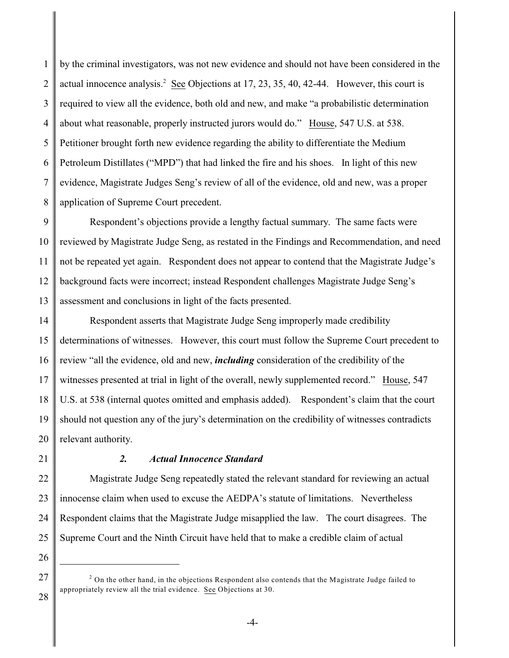1 2 3 4 5 6 7 8 by the criminal investigators, was not new evidence and should not have been considered in the actual innocence analysis.<sup>2</sup> See Objections at 17, 23, 35, 40, 42-44. However, this court is required to view all the evidence, both old and new, and make "a probabilistic determination about what reasonable, properly instructed jurors would do." House, 547 U.S. at 538. Petitioner brought forth new evidence regarding the ability to differentiate the Medium Petroleum Distillates ("MPD") that had linked the fire and his shoes. In light of this new evidence, Magistrate Judges Seng's review of all of the evidence, old and new, was a proper application of Supreme Court precedent.

9 10 11 12 13 Respondent's objections provide a lengthy factual summary. The same facts were reviewed by Magistrate Judge Seng, as restated in the Findings and Recommendation, and need not be repeated yet again. Respondent does not appear to contend that the Magistrate Judge's background facts were incorrect; instead Respondent challenges Magistrate Judge Seng's assessment and conclusions in light of the facts presented.

14 15 16 17 18 19 20 Respondent asserts that Magistrate Judge Seng improperly made credibility determinations of witnesses. However, this court must follow the Supreme Court precedent to review "all the evidence, old and new, *including* consideration of the credibility of the witnesses presented at trial in light of the overall, newly supplemented record." House, 547 U.S. at 538 (internal quotes omitted and emphasis added). Respondent's claim that the court should not question any of the jury's determination on the credibility of witnesses contradicts relevant authority.

21

### *2. Actual Innocence Standard*

22 23 24 25 Magistrate Judge Seng repeatedly stated the relevant standard for reviewing an actual innocense claim when used to excuse the AEDPA's statute of limitations. Nevertheless Respondent claims that the Magistrate Judge misapplied the law. The court disagrees. The Supreme Court and the Ninth Circuit have held that to make a credible claim of actual

<sup>27</sup> 28  $2$  On the other hand, in the objections Respondent also contends that the Magistrate Judge failed to appropriately review all the trial evidence. See Objections at 30.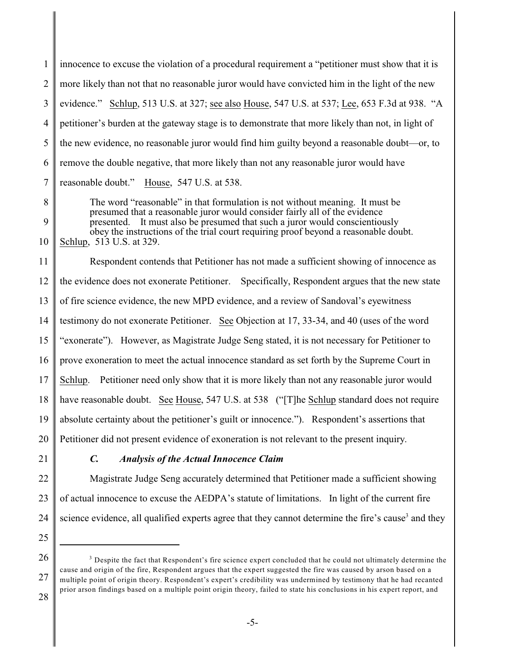1 2 3 4 5 6 7 8 9 10 11 12 innocence to excuse the violation of a procedural requirement a "petitioner must show that it is more likely than not that no reasonable juror would have convicted him in the light of the new evidence." Schlup, 513 U.S. at 327; see also House, 547 U.S. at 537; Lee, 653 F.3d at 938. "A petitioner's burden at the gateway stage is to demonstrate that more likely than not, in light of the new evidence, no reasonable juror would find him guilty beyond a reasonable doubt—or, to remove the double negative, that more likely than not any reasonable juror would have reasonable doubt." House, 547 U.S. at 538. The word "reasonable" in that formulation is not without meaning. It must be presumed that a reasonable juror would consider fairly all of the evidence presented. It must also be presumed that such a juror would conscientiously obey the instructions of the trial court requiring proof beyond a reasonable doubt. Schlup, 513 U.S. at 329. Respondent contends that Petitioner has not made a sufficient showing of innocence as the evidence does not exonerate Petitioner. Specifically, Respondent argues that the new state

13 of fire science evidence, the new MPD evidence, and a review of Sandoval's eyewitness

14 testimony do not exonerate Petitioner. See Objection at 17, 33-34, and 40 (uses of the word

15 "exonerate"). However, as Magistrate Judge Seng stated, it is not necessary for Petitioner to

16 prove exoneration to meet the actual innocence standard as set forth by the Supreme Court in

17 Schlup. Petitioner need only show that it is more likely than not any reasonable juror would

18 have reasonable doubt. See House, 547 U.S. at 538 ("The Schlup standard does not require

19 absolute certainty about the petitioner's guilt or innocence."). Respondent's assertions that

20 Petitioner did not present evidence of exoneration is not relevant to the present inquiry.

21

# *C. Analysis of the Actual Innocence Claim*

22 23 24 Magistrate Judge Seng accurately determined that Petitioner made a sufficient showing of actual innocence to excuse the AEDPA's statute of limitations. In light of the current fire science evidence, all qualified experts agree that they cannot determine the fire's cause<sup>3</sup> and they

27

<sup>25</sup> 26

 $3$  Despite the fact that Respondent's fire science expert concluded that he could not ultimately determine the cause and origin of the fire, Respondent argues that the expert suggested the fire was caused by arson based on a multiple point of origin theory. Respondent's expert's credibility was undermined by testimony that he had recanted prior arson findings based on a multiple point origin theory, failed to state his conclusions in his expert report, and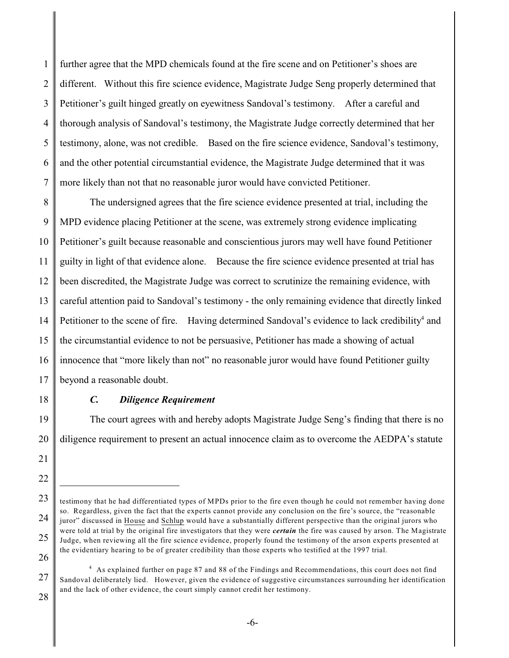1 2 3 4 5 6 7 further agree that the MPD chemicals found at the fire scene and on Petitioner's shoes are different. Without this fire science evidence, Magistrate Judge Seng properly determined that Petitioner's guilt hinged greatly on eyewitness Sandoval's testimony. After a careful and thorough analysis of Sandoval's testimony, the Magistrate Judge correctly determined that her testimony, alone, was not credible. Based on the fire science evidence, Sandoval's testimony, and the other potential circumstantial evidence, the Magistrate Judge determined that it was more likely than not that no reasonable juror would have convicted Petitioner.

8 9 10 11 12 13 14 15 16 17 The undersigned agrees that the fire science evidence presented at trial, including the MPD evidence placing Petitioner at the scene, was extremely strong evidence implicating Petitioner's guilt because reasonable and conscientious jurors may well have found Petitioner guilty in light of that evidence alone. Because the fire science evidence presented at trial has been discredited, the Magistrate Judge was correct to scrutinize the remaining evidence, with careful attention paid to Sandoval's testimony - the only remaining evidence that directly linked Petitioner to the scene of fire. Having determined Sandoval's evidence to lack credibility<sup>4</sup> and the circumstantial evidence to not be persuasive, Petitioner has made a showing of actual innocence that "more likely than not" no reasonable juror would have found Petitioner guilty beyond a reasonable doubt.

18

## *C. Diligence Requirement*

19 20 The court agrees with and hereby adopts Magistrate Judge Seng's finding that there is no diligence requirement to present an actual innocence claim as to overcome the AEDPA's statute

<sup>21</sup> 22

<sup>23</sup> 24 25 26 testimony that he had differentiated types of MPDs prior to the fire even though he could not remember having done so. Regardless, given the fact that the experts cannot provide any conclusion on the fire's source, the "reasonable juror" discussed in House and Schlup would have a substantially different perspective than the original jurors who were told at trial by the original fire investigators that they were *certain* the fire was caused by arson. The Magistrate Judge, when reviewing all the fire science evidence, properly found the testimony of the arson experts presented at the evidentiary hearing to be of greater credibility than those experts who testified at the 1997 trial.

<sup>27</sup> 28 <sup>4</sup> As explained further on page 87 and 88 of the Findings and Recommendations, this court does not find Sandoval deliberately lied. However, given the evidence of suggestive circumstances surrounding her identification and the lack of other evidence, the court simply cannot credit her testimony.